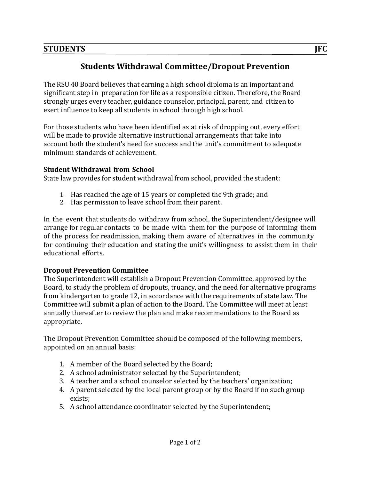## **STUDENTS** *IFC* $\overline{a}$  $\overline{b}$  $\overline{c}$  $\overline{d}$  $\overline{d}$  $\overline{d}$  $\overline{d}$  $\overline{d}$  $\overline{d}$  $\overline{d}$  $\overline{d}$  $\overline{d}$  $\overline{d}$  $\overline{d}$  $\overline{d}$  $\overline{d}$  $\overline{d}$  $\overline{d}$  $\overline{d}$  $\overline{d}$  $\overline{d}$  $\overline{d}$  **\overline{**

## **Students Withdrawal Committee/Dropout Prevention**

The RSU 40 Board believes that earning a high school diploma is an important and significant step in preparation for life as a responsible citizen. Therefore, the Board strongly urges every teacher, guidance counselor, principal, parent, and citizen to exert influence to keep all students in school through high school.

For those students who have been identified as at risk of dropping out, every effort will be made to provide alternative instructional arrangements that take into account both the student's need for success and the unit's commitment to adequate minimum standards of achievement.

## **Student Withdrawal from School**

State law provides for student withdrawal from school, provided the student:

- 1. Has reached the age of 15 years or completed the 9th grade; and
- 2. Has permission to leave school from their parent.

In the event that students do withdraw from school, the Superintendent/designee will arrange for regular contacts to be made with them for the purpose of informing them of the process for readmission, making them aware of alternatives in the community for continuing their education and stating the unit's willingness to assist them in their educational efforts.

## **Dropout Prevention Committee**

The Superintendent will establish a Dropout Prevention Committee, approved by the Board, to study the problem of dropouts, truancy, and the need for alternative programs from kindergarten to grade 12, in accordance with the requirements of state law. The Committee will submit a plan of action to the Board. The Committee will meet at least annually thereafter to review the plan and make recommendations to the Board as appropriate.

The Dropout Prevention Committee should be composed of the following members, appointed on an annual basis:

- 1. A member of the Board selected by the Board;
- 2. A school administrator selected by the Superintendent;
- 3. A teacher and a school counselor selected by the teachers' organization;
- 4. A parent selected by the local parent group or by the Board if no such group exists;
- 5. A school attendance coordinator selected by the Superintendent;